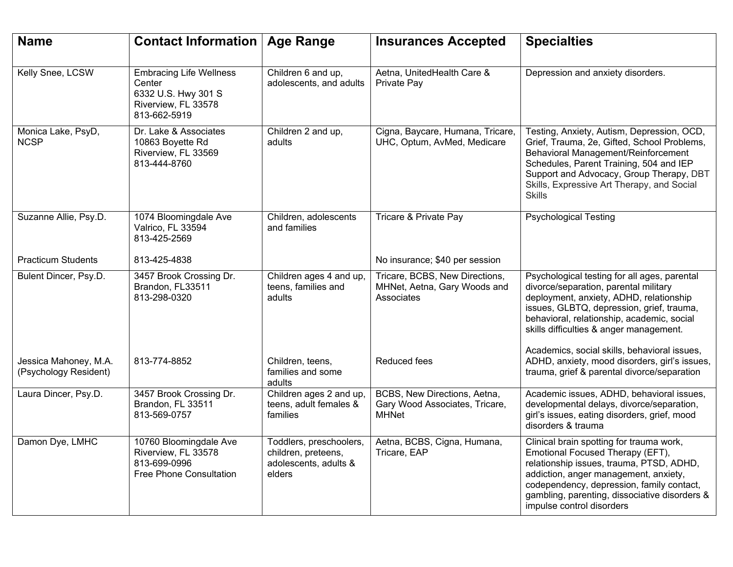| <b>Name</b>                                    | <b>Contact Information   Age Range</b>                                                                 |                                                                                   | <b>Insurances Accepted</b>                                                     | <b>Specialties</b>                                                                                                                                                                                                                                                                           |
|------------------------------------------------|--------------------------------------------------------------------------------------------------------|-----------------------------------------------------------------------------------|--------------------------------------------------------------------------------|----------------------------------------------------------------------------------------------------------------------------------------------------------------------------------------------------------------------------------------------------------------------------------------------|
| Kelly Snee, LCSW                               | <b>Embracing Life Wellness</b><br>Center<br>6332 U.S. Hwy 301 S<br>Riverview, FL 33578<br>813-662-5919 | Children 6 and up,<br>adolescents, and adults                                     | Aetna, UnitedHealth Care &<br>Private Pay                                      | Depression and anxiety disorders.                                                                                                                                                                                                                                                            |
| Monica Lake, PsyD,<br><b>NCSP</b>              | Dr. Lake & Associates<br>10863 Boyette Rd<br>Riverview, FL 33569<br>813-444-8760                       | Children 2 and up,<br>adults                                                      | Cigna, Baycare, Humana, Tricare,<br>UHC, Optum, AvMed, Medicare                | Testing, Anxiety, Autism, Depression, OCD,<br>Grief, Trauma, 2e, Gifted, School Problems,<br>Behavioral Management/Reinforcement<br>Schedules, Parent Training, 504 and IEP<br>Support and Advocacy, Group Therapy, DBT<br>Skills, Expressive Art Therapy, and Social<br><b>Skills</b>       |
| Suzanne Allie, Psy.D.                          | 1074 Bloomingdale Ave<br>Valrico, FL 33594<br>813-425-2569                                             | Children, adolescents<br>and families                                             | Tricare & Private Pay                                                          | <b>Psychological Testing</b>                                                                                                                                                                                                                                                                 |
| <b>Practicum Students</b>                      | 813-425-4838                                                                                           |                                                                                   | No insurance; \$40 per session                                                 |                                                                                                                                                                                                                                                                                              |
| Bulent Dincer, Psy.D.                          | 3457 Brook Crossing Dr.<br>Brandon, FL33511<br>813-298-0320                                            | Children ages 4 and up,<br>teens, families and<br>adults                          | Tricare, BCBS, New Directions,<br>MHNet, Aetna, Gary Woods and<br>Associates   | Psychological testing for all ages, parental<br>divorce/separation, parental military<br>deployment, anxiety, ADHD, relationship<br>issues, GLBTQ, depression, grief, trauma,<br>behavioral, relationship, academic, social<br>skills difficulties & anger management.                       |
| Jessica Mahoney, M.A.<br>(Psychology Resident) | 813-774-8852                                                                                           | Children, teens,<br>families and some<br>adults                                   | Reduced fees                                                                   | Academics, social skills, behavioral issues,<br>ADHD, anxiety, mood disorders, girl's issues,<br>trauma, grief & parental divorce/separation                                                                                                                                                 |
| Laura Dincer, Psy.D.                           | 3457 Brook Crossing Dr.<br>Brandon, FL 33511<br>813-569-0757                                           | Children ages 2 and up,<br>teens, adult females &<br>families                     | BCBS, New Directions, Aetna,<br>Gary Wood Associates, Tricare,<br><b>MHNet</b> | Academic issues, ADHD, behavioral issues,<br>developmental delays, divorce/separation,<br>girl's issues, eating disorders, grief, mood<br>disorders & trauma                                                                                                                                 |
| Damon Dye, LMHC                                | 10760 Bloomingdale Ave<br>Riverview, FL 33578<br>813-699-0996<br>Free Phone Consultation               | Toddlers, preschoolers,<br>children, preteens,<br>adolescents, adults &<br>elders | Aetna, BCBS, Cigna, Humana,<br>Tricare, EAP                                    | Clinical brain spotting for trauma work,<br>Emotional Focused Therapy (EFT),<br>relationship issues, trauma, PTSD, ADHD,<br>addiction, anger management, anxiety,<br>codependency, depression, family contact,<br>gambling, parenting, dissociative disorders &<br>impulse control disorders |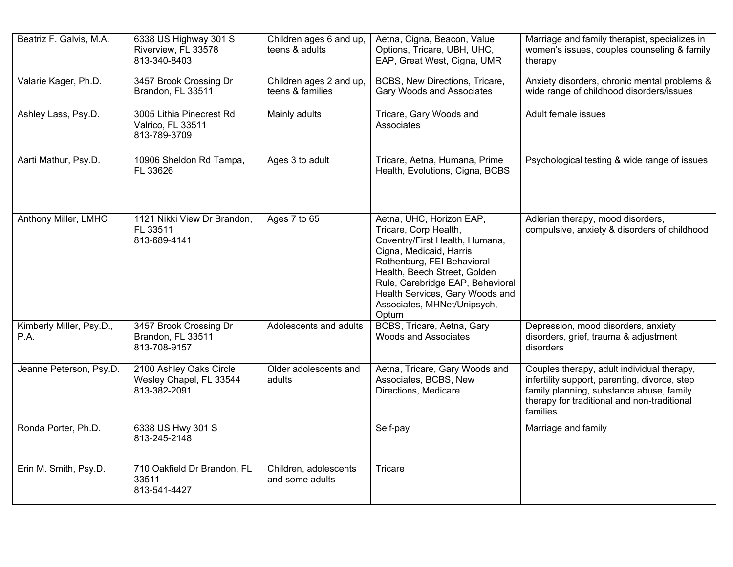| Beatriz F. Galvis, M.A.          | 6338 US Highway 301 S<br>Riverview, FL 33578<br>813-340-8403       | Children ages 6 and up,<br>teens & adults   | Aetna, Cigna, Beacon, Value<br>Options, Tricare, UBH, UHC,<br>EAP, Great West, Cigna, UMR                                                                                                                                                                                                   | Marriage and family therapist, specializes in<br>women's issues, couples counseling & family<br>therapy                                                                                            |
|----------------------------------|--------------------------------------------------------------------|---------------------------------------------|---------------------------------------------------------------------------------------------------------------------------------------------------------------------------------------------------------------------------------------------------------------------------------------------|----------------------------------------------------------------------------------------------------------------------------------------------------------------------------------------------------|
| Valarie Kager, Ph.D.             | 3457 Brook Crossing Dr<br>Brandon, FL 33511                        | Children ages 2 and up,<br>teens & families | BCBS, New Directions, Tricare,<br><b>Gary Woods and Associates</b>                                                                                                                                                                                                                          | Anxiety disorders, chronic mental problems &<br>wide range of childhood disorders/issues                                                                                                           |
| Ashley Lass, Psy.D.              | 3005 Lithia Pinecrest Rd<br>Valrico, FL 33511<br>813-789-3709      | <b>Mainly adults</b>                        | Tricare, Gary Woods and<br>Associates                                                                                                                                                                                                                                                       | Adult female issues                                                                                                                                                                                |
| Aarti Mathur, Psy.D.             | 10906 Sheldon Rd Tampa,<br>FL 33626                                | Ages 3 to adult                             | Tricare, Aetna, Humana, Prime<br>Health, Evolutions, Cigna, BCBS                                                                                                                                                                                                                            | Psychological testing & wide range of issues                                                                                                                                                       |
| Anthony Miller, LMHC             | 1121 Nikki View Dr Brandon,<br>FL 33511<br>813-689-4141            | Ages 7 to 65                                | Aetna, UHC, Horizon EAP,<br>Tricare, Corp Health,<br>Coventry/First Health, Humana,<br>Cigna, Medicaid, Harris<br>Rothenburg, FEI Behavioral<br>Health, Beech Street, Golden<br>Rule, Carebridge EAP, Behavioral<br>Health Services, Gary Woods and<br>Associates, MHNet/Unipsych,<br>Optum | Adlerian therapy, mood disorders,<br>compulsive, anxiety & disorders of childhood                                                                                                                  |
| Kimberly Miller, Psy.D.,<br>P.A. | 3457 Brook Crossing Dr<br>Brandon, FL 33511<br>813-708-9157        | Adolescents and adults                      | BCBS, Tricare, Aetna, Gary<br><b>Woods and Associates</b>                                                                                                                                                                                                                                   | Depression, mood disorders, anxiety<br>disorders, grief, trauma & adjustment<br>disorders                                                                                                          |
| Jeanne Peterson, Psy.D.          | 2100 Ashley Oaks Circle<br>Wesley Chapel, FL 33544<br>813-382-2091 | Older adolescents and<br>adults             | Aetna, Tricare, Gary Woods and<br>Associates, BCBS, New<br>Directions, Medicare                                                                                                                                                                                                             | Couples therapy, adult individual therapy,<br>infertility support, parenting, divorce, step<br>family planning, substance abuse, family<br>therapy for traditional and non-traditional<br>families |
| Ronda Porter, Ph.D.              | 6338 US Hwy 301 S<br>813-245-2148                                  |                                             | Self-pay                                                                                                                                                                                                                                                                                    | Marriage and family                                                                                                                                                                                |
| Erin M. Smith, Psy.D.            | 710 Oakfield Dr Brandon, FL<br>33511<br>813-541-4427               | Children, adolescents<br>and some adults    | Tricare                                                                                                                                                                                                                                                                                     |                                                                                                                                                                                                    |